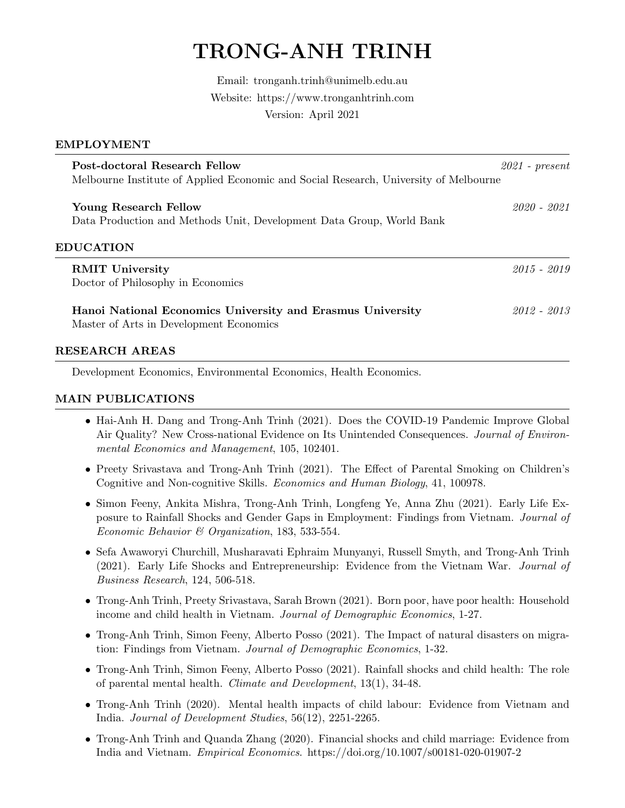# TRONG-ANH TRINH

Email: tronganh.trinh@unimelb.edu.au Website: https://www.tronganhtrinh.com Version: April 2021

#### EMPLOYMENT

| Post-doctoral Research Fellow<br>Melbourne Institute of Applied Economic and Social Research, University of Melbourne | $2021$ - present |
|-----------------------------------------------------------------------------------------------------------------------|------------------|
| Young Research Fellow                                                                                                 | 2020 - 2021      |
| Data Production and Methods Unit, Development Data Group, World Bank                                                  |                  |
| <b>EDUCATION</b>                                                                                                      |                  |
| <b>RMIT University</b>                                                                                                | $2015 - 2019$    |
| Doctor of Philosophy in Economics                                                                                     |                  |
| Hanoi National Economics University and Erasmus University<br>Master of Arts in Development Economics                 | $2012 - 2013$    |
|                                                                                                                       |                  |

#### RESEARCH AREAS

Development Economics, Environmental Economics, Health Economics.

## MAIN PUBLICATIONS

- Hai-Anh H. Dang and Trong-Anh Trinh (2021). Does the COVID-19 Pandemic Improve Global Air Quality? New Cross-national Evidence on Its Unintended Consequences. Journal of Environmental Economics and Management, 105, 102401.
- Preety Srivastava and Trong-Anh Trinh (2021). The Effect of Parental Smoking on Children's Cognitive and Non-cognitive Skills. Economics and Human Biology, 41, 100978.
- Simon Feeny, Ankita Mishra, Trong-Anh Trinh, Longfeng Ye, Anna Zhu (2021). Early Life Exposure to Rainfall Shocks and Gender Gaps in Employment: Findings from Vietnam. Journal of Economic Behavior & Organization, 183, 533-554.
- Sefa Awaworyi Churchill, Musharavati Ephraim Munyanyi, Russell Smyth, and Trong-Anh Trinh (2021). Early Life Shocks and Entrepreneurship: Evidence from the Vietnam War. Journal of Business Research, 124, 506-518.
- Trong-Anh Trinh, Preety Srivastava, Sarah Brown (2021). Born poor, have poor health: Household income and child health in Vietnam. Journal of Demographic Economics, 1-27.
- Trong-Anh Trinh, Simon Feeny, Alberto Posso (2021). The Impact of natural disasters on migration: Findings from Vietnam. Journal of Demographic Economics, 1-32.
- Trong-Anh Trinh, Simon Feeny, Alberto Posso (2021). Rainfall shocks and child health: The role of parental mental health. Climate and Development, 13(1), 34-48.
- Trong-Anh Trinh (2020). Mental health impacts of child labour: Evidence from Vietnam and India. Journal of Development Studies, 56(12), 2251-2265.
- Trong-Anh Trinh and Quanda Zhang (2020). Financial shocks and child marriage: Evidence from India and Vietnam. Empirical Economics. https://doi.org/10.1007/s00181-020-01907-2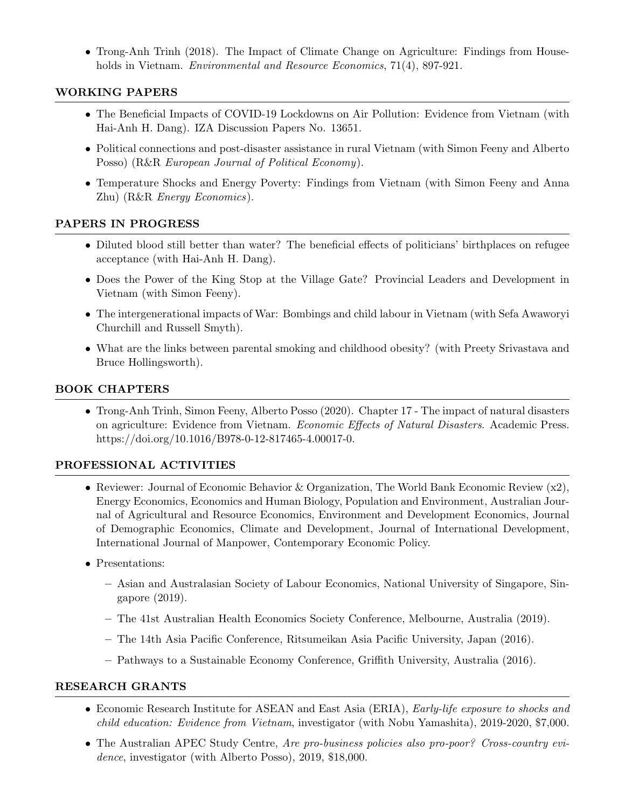• Trong-Anh Trinh (2018). The Impact of Climate Change on Agriculture: Findings from Households in Vietnam. *Environmental and Resource Economics*, 71(4), 897-921.

# WORKING PAPERS

- The Beneficial Impacts of COVID-19 Lockdowns on Air Pollution: Evidence from Vietnam (with Hai-Anh H. Dang). IZA Discussion Papers No. 13651.
- Political connections and post-disaster assistance in rural Vietnam (with Simon Feeny and Alberto Posso) (R&R European Journal of Political Economy).
- Temperature Shocks and Energy Poverty: Findings from Vietnam (with Simon Feeny and Anna Zhu) (R&R Energy Economics).

## PAPERS IN PROGRESS

- Diluted blood still better than water? The beneficial effects of politicians' birthplaces on refugee acceptance (with Hai-Anh H. Dang).
- Does the Power of the King Stop at the Village Gate? Provincial Leaders and Development in Vietnam (with Simon Feeny).
- The intergenerational impacts of War: Bombings and child labour in Vietnam (with Sefa Awaworyi Churchill and Russell Smyth).
- What are the links between parental smoking and childhood obesity? (with Preety Srivastava and Bruce Hollingsworth).

# BOOK CHAPTERS

• Trong-Anh Trinh, Simon Feeny, Alberto Posso (2020). Chapter 17 - The impact of natural disasters on agriculture: Evidence from Vietnam. Economic Effects of Natural Disasters. Academic Press. https://doi.org/10.1016/B978-0-12-817465-4.00017-0.

# PROFESSIONAL ACTIVITIES

- Reviewer: Journal of Economic Behavior & Organization, The World Bank Economic Review (x2), Energy Economics, Economics and Human Biology, Population and Environment, Australian Journal of Agricultural and Resource Economics, Environment and Development Economics, Journal of Demographic Economics, Climate and Development, Journal of International Development, International Journal of Manpower, Contemporary Economic Policy.
- Presentations:
	- Asian and Australasian Society of Labour Economics, National University of Singapore, Singapore (2019).
	- The 41st Australian Health Economics Society Conference, Melbourne, Australia (2019).
	- The 14th Asia Pacific Conference, Ritsumeikan Asia Pacific University, Japan (2016).
	- Pathways to a Sustainable Economy Conference, Griffith University, Australia (2016).

## RESEARCH GRANTS

- Economic Research Institute for ASEAN and East Asia (ERIA), *Early-life exposure to shocks and* child education: Evidence from Vietnam, investigator (with Nobu Yamashita), 2019-2020, \$7,000.
- The Australian APEC Study Centre, Are pro-business policies also pro-poor? Cross-country evidence, investigator (with Alberto Posso), 2019, \$18,000.